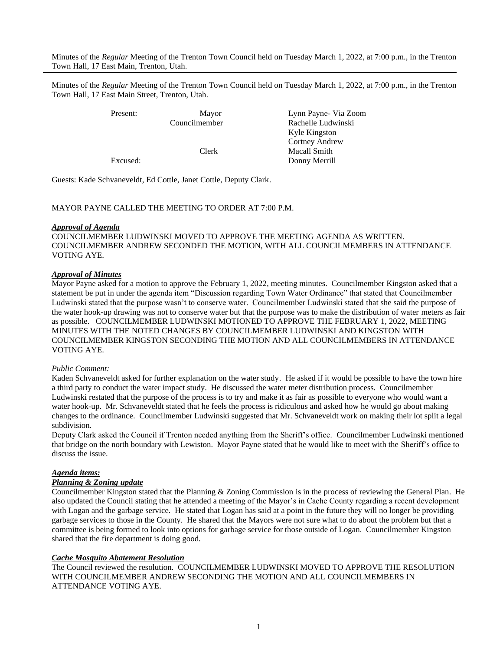Minutes of the *Regular* Meeting of the Trenton Town Council held on Tuesday March 1, 2022, at 7:00 p.m., in the Trenton Town Hall, 17 East Main, Trenton, Utah.

Minutes of the *Regular* Meeting of the Trenton Town Council held on Tuesday March 1, 2022, at 7:00 p.m., in the Trenton Town Hall, 17 East Main Street, Trenton, Utah.

Present: Mayor Lynn Payne- Via Zoom Councilmember Rachelle Ludwinski Kyle Kingston Cortney Andrew Clerk Macall Smith Excused: Donny Merrill

Guests: Kade Schvaneveldt, Ed Cottle, Janet Cottle, Deputy Clark.

## MAYOR PAYNE CALLED THE MEETING TO ORDER AT 7:00 P.M.

#### *Approval of Agenda*

COUNCILMEMBER LUDWINSKI MOVED TO APPROVE THE MEETING AGENDA AS WRITTEN. COUNCILMEMBER ANDREW SECONDED THE MOTION, WITH ALL COUNCILMEMBERS IN ATTENDANCE VOTING AYE.

# *Approval of Minutes*

Mayor Payne asked for a motion to approve the February 1, 2022, meeting minutes. Councilmember Kingston asked that a statement be put in under the agenda item "Discussion regarding Town Water Ordinance" that stated that Councilmember Ludwinski stated that the purpose wasn't to conserve water. Councilmember Ludwinski stated that she said the purpose of the water hook-up drawing was not to conserve water but that the purpose was to make the distribution of water meters as fair as possible. COUNCILMEMBER LUDWINSKI MOTIONED TO APPROVE THE FEBRUARY 1, 2022, MEETING MINUTES WITH THE NOTED CHANGES BY COUNCILMEMBER LUDWINSKI AND KINGSTON WITH COUNCILMEMBER KINGSTON SECONDING THE MOTION AND ALL COUNCILMEMBERS IN ATTENDANCE VOTING AYE.

#### *Public Comment:*

Kaden Schvaneveldt asked for further explanation on the water study. He asked if it would be possible to have the town hire a third party to conduct the water impact study. He discussed the water meter distribution process. Councilmember Ludwinski restated that the purpose of the process is to try and make it as fair as possible to everyone who would want a water hook-up. Mr. Schvaneveldt stated that he feels the process is ridiculous and asked how he would go about making changes to the ordinance. Councilmember Ludwinski suggested that Mr. Schvaneveldt work on making their lot split a legal subdivision.

Deputy Clark asked the Council if Trenton needed anything from the Sheriff's office. Councilmember Ludwinski mentioned that bridge on the north boundary with Lewiston. Mayor Payne stated that he would like to meet with the Sheriff's office to discuss the issue.

## *Agenda items:*

#### *Planning & Zoning update*

Councilmember Kingston stated that the Planning & Zoning Commission is in the process of reviewing the General Plan. He also updated the Council stating that he attended a meeting of the Mayor's in Cache County regarding a recent development with Logan and the garbage service. He stated that Logan has said at a point in the future they will no longer be providing garbage services to those in the County. He shared that the Mayors were not sure what to do about the problem but that a committee is being formed to look into options for garbage service for those outside of Logan. Councilmember Kingston shared that the fire department is doing good.

#### *Cache Mosquito Abatement Resolution*

The Council reviewed the resolution. COUNCILMEMBER LUDWINSKI MOVED TO APPROVE THE RESOLUTION WITH COUNCILMEMBER ANDREW SECONDING THE MOTION AND ALL COUNCILMEMBERS IN ATTENDANCE VOTING AYE.